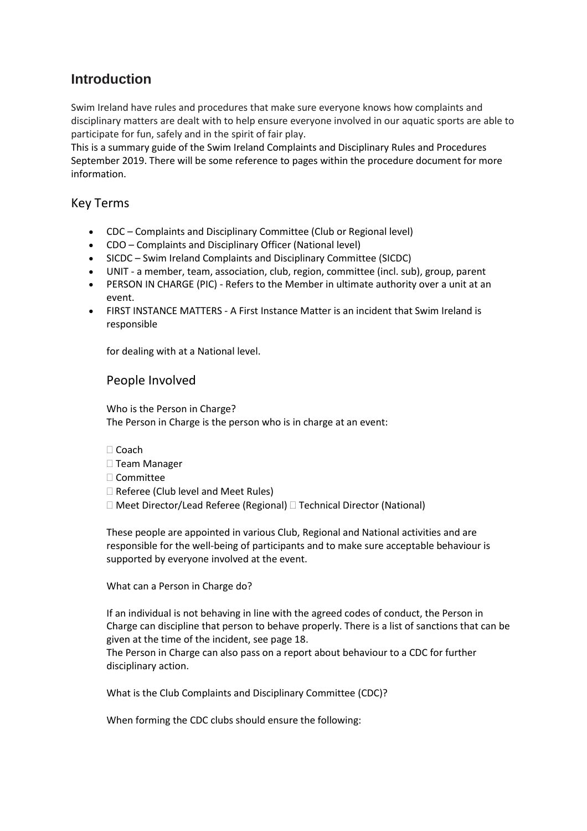# **Introduction**

Swim Ireland have rules and procedures that make sure everyone knows how complaints and disciplinary matters are dealt with to help ensure everyone involved in our aquatic sports are able to participate for fun, safely and in the spirit of fair play.

This is a summary guide of the Swim Ireland Complaints and Disciplinary Rules and Procedures September 2019. There will be some reference to pages within the procedure document for more information.

## Key Terms

- CDC Complaints and Disciplinary Committee (Club or Regional level)
- CDO Complaints and Disciplinary Officer (National level)
- SICDC Swim Ireland Complaints and Disciplinary Committee (SICDC)
- UNIT a member, team, association, club, region, committee (incl. sub), group, parent
- PERSON IN CHARGE (PIC) Refers to the Member in ultimate authority over a unit at an event.
- FIRST INSTANCE MATTERS A First Instance Matter is an incident that Swim Ireland is responsible

for dealing with at a National level.

## People Involved

Who is the Person in Charge? The Person in Charge is the person who is in charge at an event:

- □ Coach
- □ Team Manager
- □ Committee
- $\Box$  Referee (Club level and Meet Rules)
- □ Meet Director/Lead Referee (Regional) □ Technical Director (National)

These people are appointed in various Club, Regional and National activities and are responsible for the well-being of participants and to make sure acceptable behaviour is supported by everyone involved at the event.

What can a Person in Charge do?

If an individual is not behaving in line with the agreed codes of conduct, the Person in Charge can discipline that person to behave properly. There is a list of sanctions that can be given at the time of the incident, see page 18.

The Person in Charge can also pass on a report about behaviour to a CDC for further disciplinary action.

What is the Club Complaints and Disciplinary Committee (CDC)?

When forming the CDC clubs should ensure the following: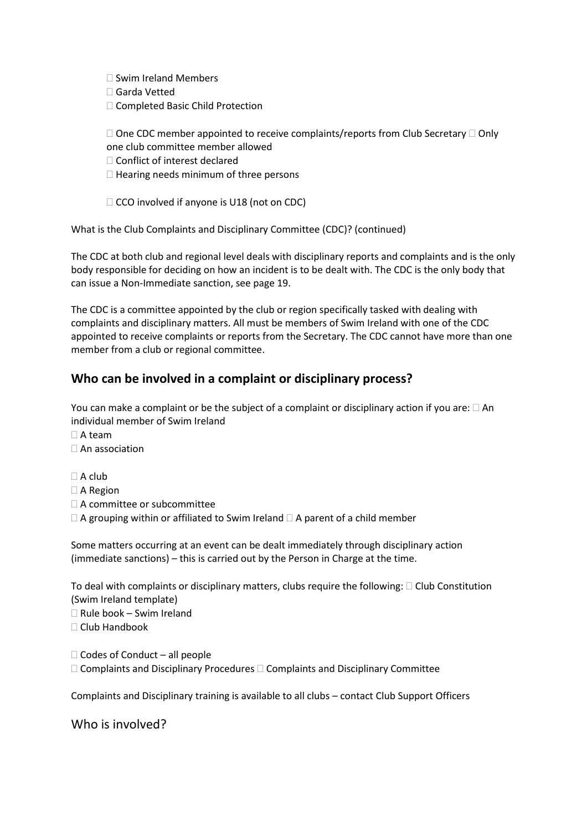$\square$  Swim Ireland Members

- Garda Vetted
- □ Completed Basic Child Protection

 $\square$  One CDC member appointed to receive complaints/reports from Club Secretary  $\square$  Only one club committee member allowed

- □ Conflict of interest declared
- $\Box$  Hearing needs minimum of three persons
- $\Box$  CCO involved if anyone is U18 (not on CDC)

What is the Club Complaints and Disciplinary Committee (CDC)? (continued)

The CDC at both club and regional level deals with disciplinary reports and complaints and is the only body responsible for deciding on how an incident is to be dealt with. The CDC is the only body that can issue a Non-Immediate sanction, see page 19.

The CDC is a committee appointed by the club or region specifically tasked with dealing with complaints and disciplinary matters. All must be members of Swim Ireland with one of the CDC appointed to receive complaints or reports from the Secretary. The CDC cannot have more than one member from a club or regional committee.

# **Who can be involved in a complaint or disciplinary process?**

You can make a complaint or be the subject of a complaint or disciplinary action if you are:  $\Box$  An individual member of Swim Ireland

- $\Box$  A team
- □ An association

 $\Box$  A club

- □ A Region
- □ A committee or subcommittee
- $\Box$  A grouping within or affiliated to Swim Ireland  $\Box$  A parent of a child member

Some matters occurring at an event can be dealt immediately through disciplinary action (immediate sanctions) – this is carried out by the Person in Charge at the time.

To deal with complaints or disciplinary matters, clubs require the following:  $\Box$  Club Constitution (Swim Ireland template)

 $\Box$  Rule book – Swim Ireland

 $\Box$  Club Handbook

 $\Box$  Codes of Conduct – all people  $\Box$  Complaints and Disciplinary Procedures  $\Box$  Complaints and Disciplinary Committee

Complaints and Disciplinary training is available to all clubs – contact Club Support Officers

# Who is involved?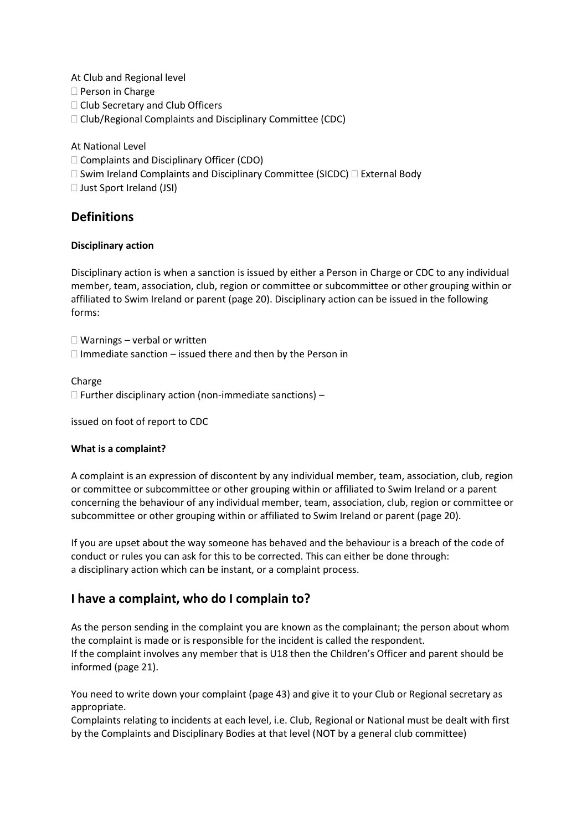At Club and Regional level

□ Person in Charge

□ Club Secretary and Club Officers

□ Club/Regional Complaints and Disciplinary Committee (CDC)

### At National Level

□ Complaints and Disciplinary Officer (CDO)

 $\square$  Swim Ireland Complaints and Disciplinary Committee (SICDC)  $\square$  External Body

□ Just Sport Ireland (JSI)

## **Definitions**

### **Disciplinary action**

Disciplinary action is when a sanction is issued by either a Person in Charge or CDC to any individual member, team, association, club, region or committee or subcommittee or other grouping within or affiliated to Swim Ireland or parent (page 20). Disciplinary action can be issued in the following forms:

 $\Box$  Warnings – verbal or written  $\Box$  Immediate sanction – issued there and then by the Person in

### Charge

 $\Box$  Further disciplinary action (non-immediate sanctions) –

issued on foot of report to CDC

#### **What is a complaint?**

A complaint is an expression of discontent by any individual member, team, association, club, region or committee or subcommittee or other grouping within or affiliated to Swim Ireland or a parent concerning the behaviour of any individual member, team, association, club, region or committee or subcommittee or other grouping within or affiliated to Swim Ireland or parent (page 20).

If you are upset about the way someone has behaved and the behaviour is a breach of the code of conduct or rules you can ask for this to be corrected. This can either be done through: a disciplinary action which can be instant, or a complaint process.

# **I have a complaint, who do I complain to?**

As the person sending in the complaint you are known as the complainant; the person about whom the complaint is made or is responsible for the incident is called the respondent. If the complaint involves any member that is U18 then the Children's Officer and parent should be informed (page 21).

You need to write down your complaint (page 43) and give it to your Club or Regional secretary as appropriate.

Complaints relating to incidents at each level, i.e. Club, Regional or National must be dealt with first by the Complaints and Disciplinary Bodies at that level (NOT by a general club committee)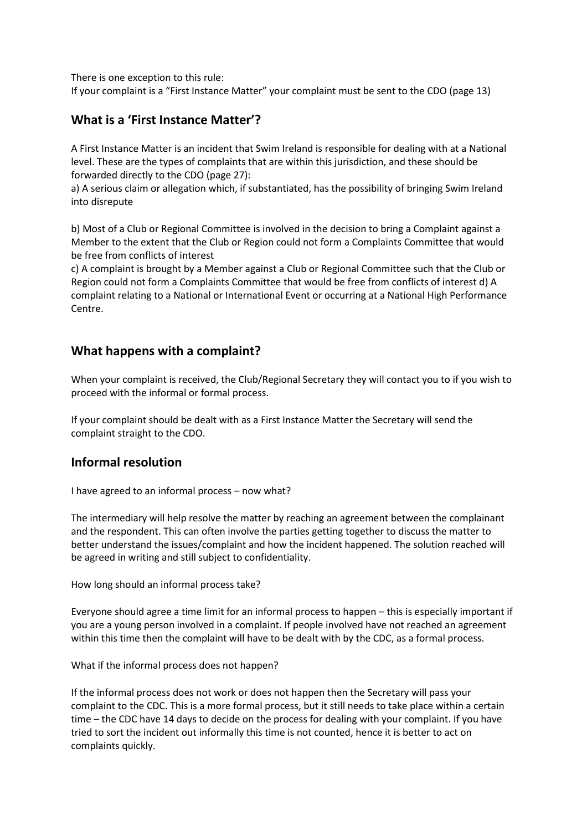There is one exception to this rule:

If your complaint is a "First Instance Matter" your complaint must be sent to the CDO (page 13)

# **What is a 'First Instance Matter'?**

A First Instance Matter is an incident that Swim Ireland is responsible for dealing with at a National level. These are the types of complaints that are within this jurisdiction, and these should be forwarded directly to the CDO (page 27):

a) A serious claim or allegation which, if substantiated, has the possibility of bringing Swim Ireland into disrepute

b) Most of a Club or Regional Committee is involved in the decision to bring a Complaint against a Member to the extent that the Club or Region could not form a Complaints Committee that would be free from conflicts of interest

c) A complaint is brought by a Member against a Club or Regional Committee such that the Club or Region could not form a Complaints Committee that would be free from conflicts of interest d) A complaint relating to a National or International Event or occurring at a National High Performance Centre.

# **What happens with a complaint?**

When your complaint is received, the Club/Regional Secretary they will contact you to if you wish to proceed with the informal or formal process.

If your complaint should be dealt with as a First Instance Matter the Secretary will send the complaint straight to the CDO.

# **Informal resolution**

I have agreed to an informal process – now what?

The intermediary will help resolve the matter by reaching an agreement between the complainant and the respondent. This can often involve the parties getting together to discuss the matter to better understand the issues/complaint and how the incident happened. The solution reached will be agreed in writing and still subject to confidentiality.

How long should an informal process take?

Everyone should agree a time limit for an informal process to happen – this is especially important if you are a young person involved in a complaint. If people involved have not reached an agreement within this time then the complaint will have to be dealt with by the CDC, as a formal process.

What if the informal process does not happen?

If the informal process does not work or does not happen then the Secretary will pass your complaint to the CDC. This is a more formal process, but it still needs to take place within a certain time – the CDC have 14 days to decide on the process for dealing with your complaint. If you have tried to sort the incident out informally this time is not counted, hence it is better to act on complaints quickly.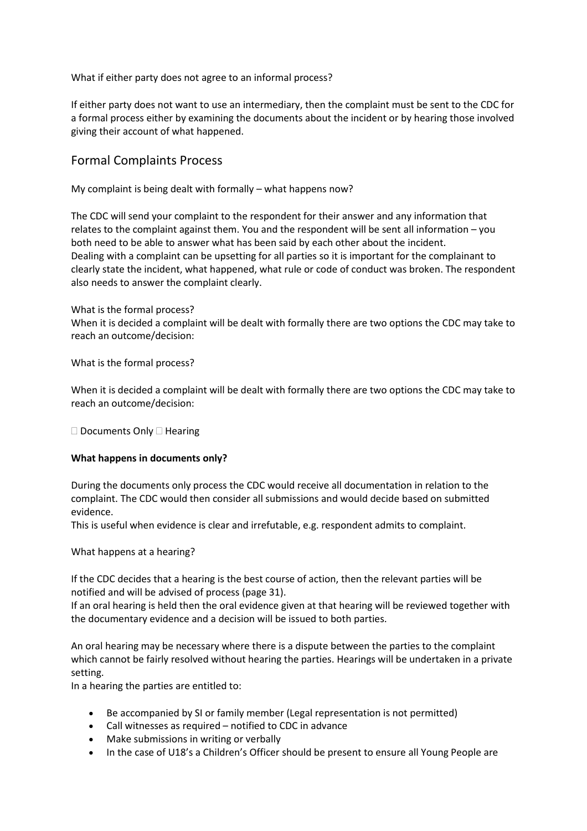What if either party does not agree to an informal process?

If either party does not want to use an intermediary, then the complaint must be sent to the CDC for a formal process either by examining the documents about the incident or by hearing those involved giving their account of what happened.

# Formal Complaints Process

My complaint is being dealt with formally – what happens now?

The CDC will send your complaint to the respondent for their answer and any information that relates to the complaint against them. You and the respondent will be sent all information – you both need to be able to answer what has been said by each other about the incident. Dealing with a complaint can be upsetting for all parties so it is important for the complainant to clearly state the incident, what happened, what rule or code of conduct was broken. The respondent also needs to answer the complaint clearly.

What is the formal process?

When it is decided a complaint will be dealt with formally there are two options the CDC may take to reach an outcome/decision:

What is the formal process?

When it is decided a complaint will be dealt with formally there are two options the CDC may take to reach an outcome/decision:

 $\square$  Documents Only  $\square$  Hearing

#### **What happens in documents only?**

During the documents only process the CDC would receive all documentation in relation to the complaint. The CDC would then consider all submissions and would decide based on submitted evidence.

This is useful when evidence is clear and irrefutable, e.g. respondent admits to complaint.

What happens at a hearing?

If the CDC decides that a hearing is the best course of action, then the relevant parties will be notified and will be advised of process (page 31).

If an oral hearing is held then the oral evidence given at that hearing will be reviewed together with the documentary evidence and a decision will be issued to both parties.

An oral hearing may be necessary where there is a dispute between the parties to the complaint which cannot be fairly resolved without hearing the parties. Hearings will be undertaken in a private setting.

In a hearing the parties are entitled to:

- Be accompanied by SI or family member (Legal representation is not permitted)
- Call witnesses as required notified to CDC in advance
- Make submissions in writing or verbally
- In the case of U18's a Children's Officer should be present to ensure all Young People are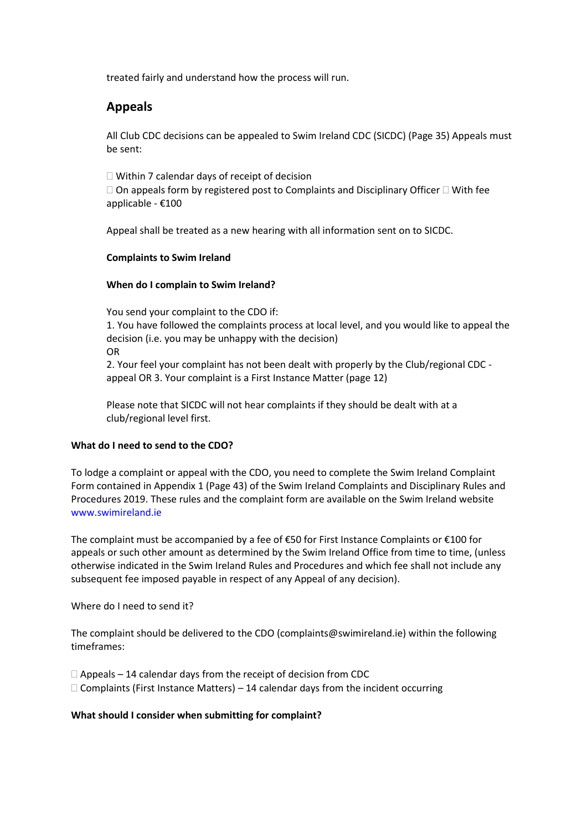treated fairly and understand how the process will run.

# **Appeals**

All Club CDC decisions can be appealed to Swim Ireland CDC (SICDC) (Page 35) Appeals must be sent:

 $\Box$  Within 7 calendar days of receipt of decision  $\Box$  On appeals form by registered post to Complaints and Disciplinary Officer  $\Box$  With fee applicable - €100

Appeal shall be treated as a new hearing with all information sent on to SICDC.

#### **Complaints to Swim Ireland**

#### **When do I complain to Swim Ireland?**

You send your complaint to the CDO if: 1. You have followed the complaints process at local level, and you would like to appeal the decision (i.e. you may be unhappy with the decision) OR 2. Your feel your complaint has not been dealt with properly by the Club/regional CDC appeal OR 3. Your complaint is a First Instance Matter (page 12)

Please note that SICDC will not hear complaints if they should be dealt with at a club/regional level first.

#### **What do I need to send to the CDO?**

To lodge a complaint or appeal with the CDO, you need to complete the Swim Ireland Complaint Form contained in Appendix 1 (Page 43) of the Swim Ireland Complaints and Disciplinary Rules and Procedures 2019. These rules and the complaint form are available on the Swim Ireland website www.swimireland.ie

The complaint must be accompanied by a fee of €50 for First Instance Complaints or €100 for appeals or such other amount as determined by the Swim Ireland Office from time to time, (unless otherwise indicated in the Swim Ireland Rules and Procedures and which fee shall not include any subsequent fee imposed payable in respect of any Appeal of any decision).

Where do I need to send it?

The complaint should be delivered to the CDO (complaints@swimireland.ie) within the following timeframes:

 $\Box$  Appeals – 14 calendar days from the receipt of decision from CDC  $\Box$  Complaints (First Instance Matters) – 14 calendar days from the incident occurring

#### **What should I consider when submitting for complaint?**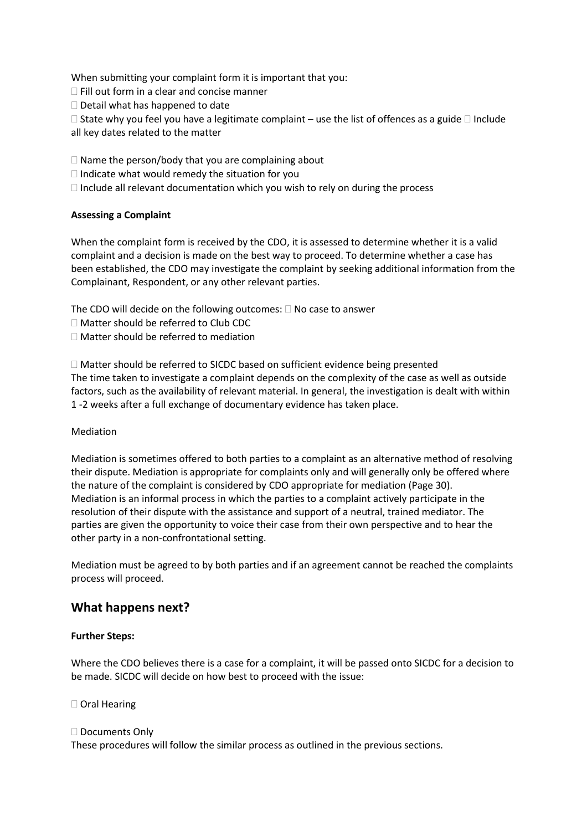When submitting your complaint form it is important that you:

 $\Box$  Fill out form in a clear and concise manner

 $\Box$  Detail what has happened to date

 $\Box$  State why you feel you have a legitimate complaint – use the list of offences as a guide  $\Box$  Include all key dates related to the matter

 $\Box$  Name the person/body that you are complaining about

 $\Box$  Indicate what would remedy the situation for you

 $\Box$  Include all relevant documentation which you wish to rely on during the process

### **Assessing a Complaint**

When the complaint form is received by the CDO, it is assessed to determine whether it is a valid complaint and a decision is made on the best way to proceed. To determine whether a case has been established, the CDO may investigate the complaint by seeking additional information from the Complainant, Respondent, or any other relevant parties.

The CDO will decide on the following outcomes:  $\Box$  No case to answer

- □ Matter should be referred to Club CDC
- Matter should be referred to mediation

 $\Box$  Matter should be referred to SICDC based on sufficient evidence being presented The time taken to investigate a complaint depends on the complexity of the case as well as outside factors, such as the availability of relevant material. In general, the investigation is dealt with within 1 -2 weeks after a full exchange of documentary evidence has taken place.

#### Mediation

Mediation is sometimes offered to both parties to a complaint as an alternative method of resolving their dispute. Mediation is appropriate for complaints only and will generally only be offered where the nature of the complaint is considered by CDO appropriate for mediation (Page 30). Mediation is an informal process in which the parties to a complaint actively participate in the resolution of their dispute with the assistance and support of a neutral, trained mediator. The parties are given the opportunity to voice their case from their own perspective and to hear the other party in a non-confrontational setting.

Mediation must be agreed to by both parties and if an agreement cannot be reached the complaints process will proceed.

## **What happens next?**

#### **Further Steps:**

Where the CDO believes there is a case for a complaint, it will be passed onto SICDC for a decision to be made. SICDC will decide on how best to proceed with the issue:

□ Oral Hearing

#### □ Documents Only

These procedures will follow the similar process as outlined in the previous sections.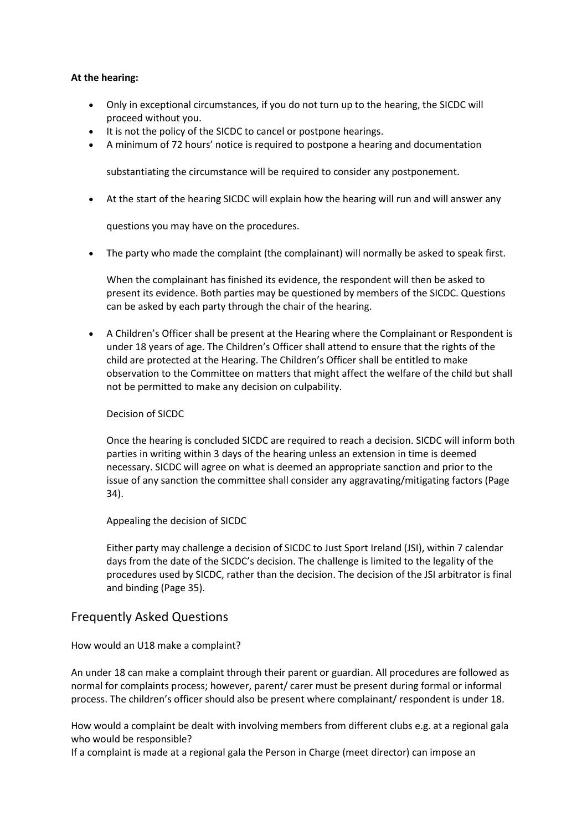#### **At the hearing:**

- Only in exceptional circumstances, if you do not turn up to the hearing, the SICDC will proceed without you.
- It is not the policy of the SICDC to cancel or postpone hearings.
- A minimum of 72 hours' notice is required to postpone a hearing and documentation

substantiating the circumstance will be required to consider any postponement.

• At the start of the hearing SICDC will explain how the hearing will run and will answer any

questions you may have on the procedures.

• The party who made the complaint (the complainant) will normally be asked to speak first.

When the complainant has finished its evidence, the respondent will then be asked to present its evidence. Both parties may be questioned by members of the SICDC. Questions can be asked by each party through the chair of the hearing.

• A Children's Officer shall be present at the Hearing where the Complainant or Respondent is under 18 years of age. The Children's Officer shall attend to ensure that the rights of the child are protected at the Hearing. The Children's Officer shall be entitled to make observation to the Committee on matters that might affect the welfare of the child but shall not be permitted to make any decision on culpability.

#### Decision of SICDC

Once the hearing is concluded SICDC are required to reach a decision. SICDC will inform both parties in writing within 3 days of the hearing unless an extension in time is deemed necessary. SICDC will agree on what is deemed an appropriate sanction and prior to the issue of any sanction the committee shall consider any aggravating/mitigating factors (Page 34).

Appealing the decision of SICDC

Either party may challenge a decision of SICDC to Just Sport Ireland (JSI), within 7 calendar days from the date of the SICDC's decision. The challenge is limited to the legality of the procedures used by SICDC, rather than the decision. The decision of the JSI arbitrator is final and binding (Page 35).

## Frequently Asked Questions

#### How would an U18 make a complaint?

An under 18 can make a complaint through their parent or guardian. All procedures are followed as normal for complaints process; however, parent/ carer must be present during formal or informal process. The children's officer should also be present where complainant/ respondent is under 18.

How would a complaint be dealt with involving members from different clubs e.g. at a regional gala who would be responsible?

If a complaint is made at a regional gala the Person in Charge (meet director) can impose an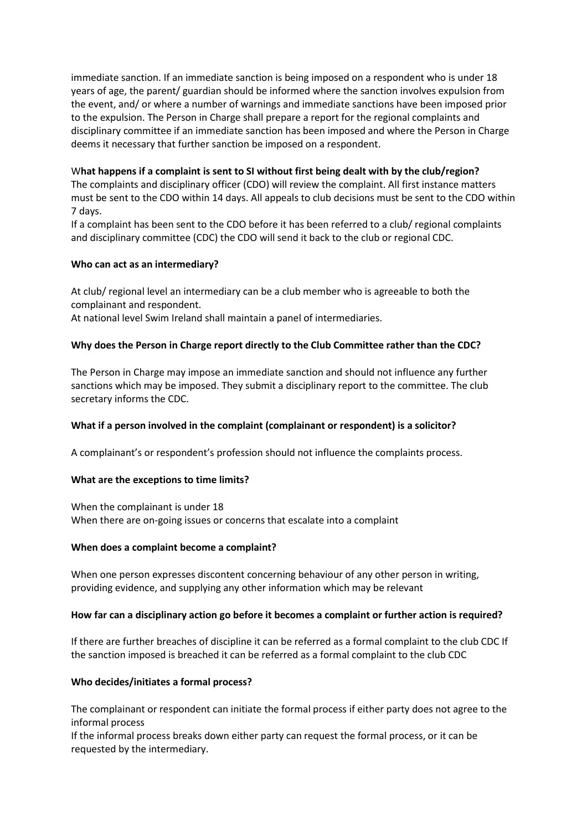immediate sanction. If an immediate sanction is being imposed on a respondent who is under 18 years of age, the parent/ guardian should be informed where the sanction involves expulsion from the event, and/ or where a number of warnings and immediate sanctions have been imposed prior to the expulsion. The Person in Charge shall prepare a report for the regional complaints and disciplinary committee if an immediate sanction has been imposed and where the Person in Charge deems it necessary that further sanction be imposed on a respondent.

#### W**hat happens if a complaint is sent to SI without first being dealt with by the club/region?**

The complaints and disciplinary officer (CDO) will review the complaint. All first instance matters must be sent to the CDO within 14 days. All appeals to club decisions must be sent to the CDO within 7 days.

If a complaint has been sent to the CDO before it has been referred to a club/ regional complaints and disciplinary committee (CDC) the CDO will send it back to the club or regional CDC.

#### **Who can act as an intermediary?**

At club/ regional level an intermediary can be a club member who is agreeable to both the complainant and respondent.

At national level Swim Ireland shall maintain a panel of intermediaries.

#### **Why does the Person in Charge report directly to the Club Committee rather than the CDC?**

The Person in Charge may impose an immediate sanction and should not influence any further sanctions which may be imposed. They submit a disciplinary report to the committee. The club secretary informs the CDC.

#### **What if a person involved in the complaint (complainant or respondent) is a solicitor?**

A complainant's or respondent's profession should not influence the complaints process.

#### **What are the exceptions to time limits?**

When the complainant is under 18 When there are on-going issues or concerns that escalate into a complaint

#### **When does a complaint become a complaint?**

When one person expresses discontent concerning behaviour of any other person in writing, providing evidence, and supplying any other information which may be relevant

#### **How far can a disciplinary action go before it becomes a complaint or further action is required?**

If there are further breaches of discipline it can be referred as a formal complaint to the club CDC If the sanction imposed is breached it can be referred as a formal complaint to the club CDC

#### **Who decides/initiates a formal process?**

The complainant or respondent can initiate the formal process if either party does not agree to the informal process

If the informal process breaks down either party can request the formal process, or it can be requested by the intermediary.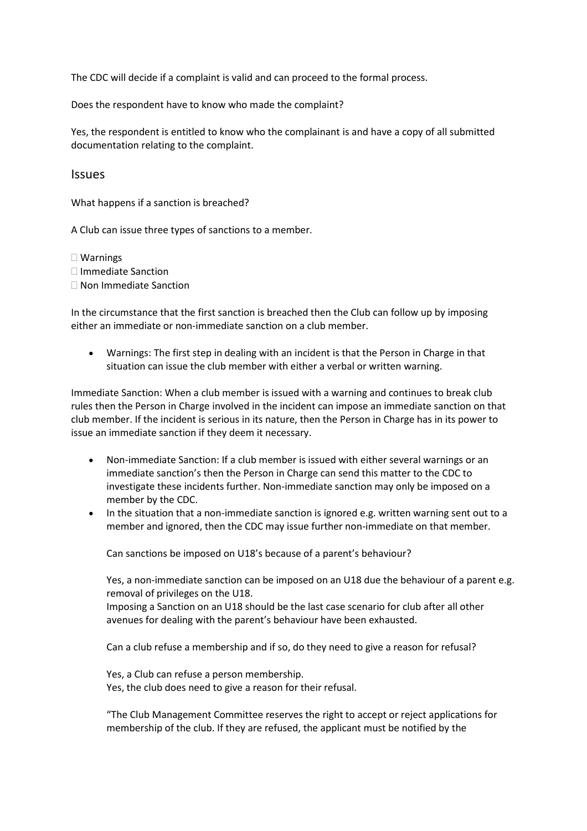The CDC will decide if a complaint is valid and can proceed to the formal process.

Does the respondent have to know who made the complaint?

Yes, the respondent is entitled to know who the complainant is and have a copy of all submitted documentation relating to the complaint.

**Issues** 

What happens if a sanction is breached?

A Club can issue three types of sanctions to a member.

Warnings

□ Immediate Sanction

□ Non Immediate Sanction

In the circumstance that the first sanction is breached then the Club can follow up by imposing either an immediate or non-immediate sanction on a club member.

• Warnings: The first step in dealing with an incident is that the Person in Charge in that situation can issue the club member with either a verbal or written warning.

Immediate Sanction: When a club member is issued with a warning and continues to break club rules then the Person in Charge involved in the incident can impose an immediate sanction on that club member. If the incident is serious in its nature, then the Person in Charge has in its power to issue an immediate sanction if they deem it necessary.

- Non-immediate Sanction: If a club member is issued with either several warnings or an immediate sanction's then the Person in Charge can send this matter to the CDC to investigate these incidents further. Non-immediate sanction may only be imposed on a member by the CDC.
- In the situation that a non-immediate sanction is ignored e.g. written warning sent out to a member and ignored, then the CDC may issue further non-immediate on that member.

Can sanctions be imposed on U18's because of a parent's behaviour?

Yes, a non-immediate sanction can be imposed on an U18 due the behaviour of a parent e.g. removal of privileges on the U18.

Imposing a Sanction on an U18 should be the last case scenario for club after all other avenues for dealing with the parent's behaviour have been exhausted.

Can a club refuse a membership and if so, do they need to give a reason for refusal?

Yes, a Club can refuse a person membership. Yes, the club does need to give a reason for their refusal.

"The Club Management Committee reserves the right to accept or reject applications for membership of the club. If they are refused, the applicant must be notified by the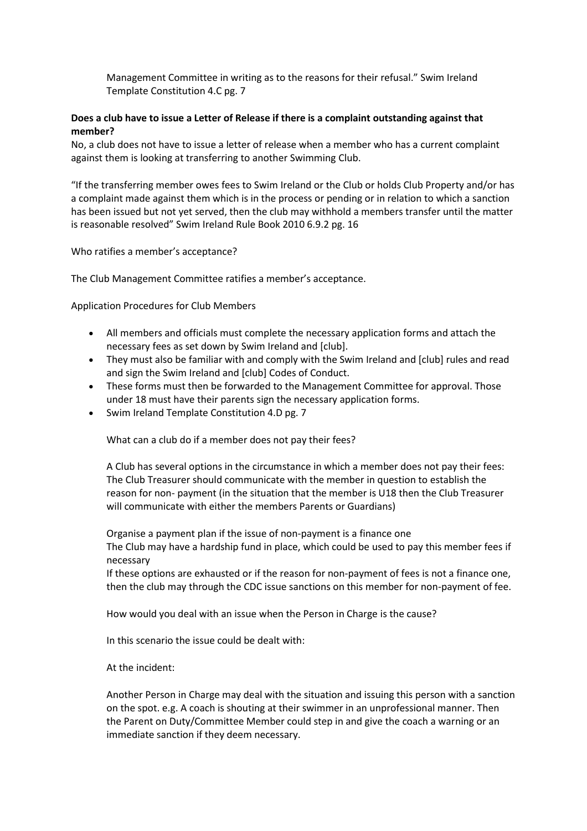Management Committee in writing as to the reasons for their refusal." Swim Ireland Template Constitution 4.C pg. 7

### **Does a club have to issue a Letter of Release if there is a complaint outstanding against that member?**

No, a club does not have to issue a letter of release when a member who has a current complaint against them is looking at transferring to another Swimming Club.

"If the transferring member owes fees to Swim Ireland or the Club or holds Club Property and/or has a complaint made against them which is in the process or pending or in relation to which a sanction has been issued but not yet served, then the club may withhold a members transfer until the matter is reasonable resolved" Swim Ireland Rule Book 2010 6.9.2 pg. 16

Who ratifies a member's acceptance?

The Club Management Committee ratifies a member's acceptance.

Application Procedures for Club Members

- All members and officials must complete the necessary application forms and attach the necessary fees as set down by Swim Ireland and [club].
- They must also be familiar with and comply with the Swim Ireland and [club] rules and read and sign the Swim Ireland and [club] Codes of Conduct.
- These forms must then be forwarded to the Management Committee for approval. Those under 18 must have their parents sign the necessary application forms.
- Swim Ireland Template Constitution 4.D pg. 7

What can a club do if a member does not pay their fees?

A Club has several options in the circumstance in which a member does not pay their fees: The Club Treasurer should communicate with the member in question to establish the reason for non- payment (in the situation that the member is U18 then the Club Treasurer will communicate with either the members Parents or Guardians)

Organise a payment plan if the issue of non-payment is a finance one The Club may have a hardship fund in place, which could be used to pay this member fees if necessary

If these options are exhausted or if the reason for non-payment of fees is not a finance one, then the club may through the CDC issue sanctions on this member for non-payment of fee.

How would you deal with an issue when the Person in Charge is the cause?

In this scenario the issue could be dealt with:

At the incident:

Another Person in Charge may deal with the situation and issuing this person with a sanction on the spot. e.g. A coach is shouting at their swimmer in an unprofessional manner. Then the Parent on Duty/Committee Member could step in and give the coach a warning or an immediate sanction if they deem necessary.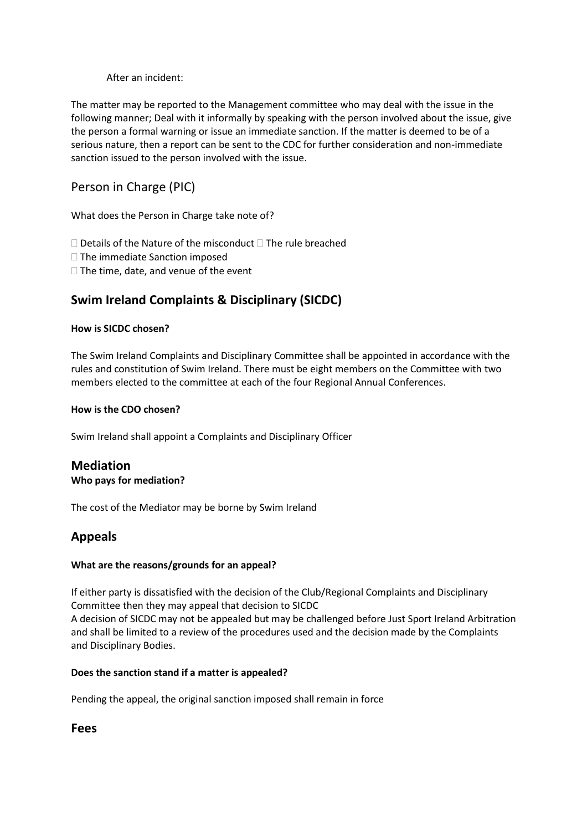After an incident:

The matter may be reported to the Management committee who may deal with the issue in the following manner; Deal with it informally by speaking with the person involved about the issue, give the person a formal warning or issue an immediate sanction. If the matter is deemed to be of a serious nature, then a report can be sent to the CDC for further consideration and non-immediate sanction issued to the person involved with the issue.

# Person in Charge (PIC)

What does the Person in Charge take note of?

 $\Box$  Details of the Nature of the misconduct  $\Box$  The rule breached

 $\Box$  The immediate Sanction imposed

 $\Box$  The time, date, and venue of the event

# **Swim Ireland Complaints & Disciplinary (SICDC)**

### **How is SICDC chosen?**

The Swim Ireland Complaints and Disciplinary Committee shall be appointed in accordance with the rules and constitution of Swim Ireland. There must be eight members on the Committee with two members elected to the committee at each of the four Regional Annual Conferences.

### **How is the CDO chosen?**

Swim Ireland shall appoint a Complaints and Disciplinary Officer

# **Mediation**

### **Who pays for mediation?**

The cost of the Mediator may be borne by Swim Ireland

# **Appeals**

### **What are the reasons/grounds for an appeal?**

If either party is dissatisfied with the decision of the Club/Regional Complaints and Disciplinary Committee then they may appeal that decision to SICDC A decision of SICDC may not be appealed but may be challenged before Just Sport Ireland Arbitration and shall be limited to a review of the procedures used and the decision made by the Complaints and Disciplinary Bodies.

### **Does the sanction stand if a matter is appealed?**

Pending the appeal, the original sanction imposed shall remain in force

## **Fees**